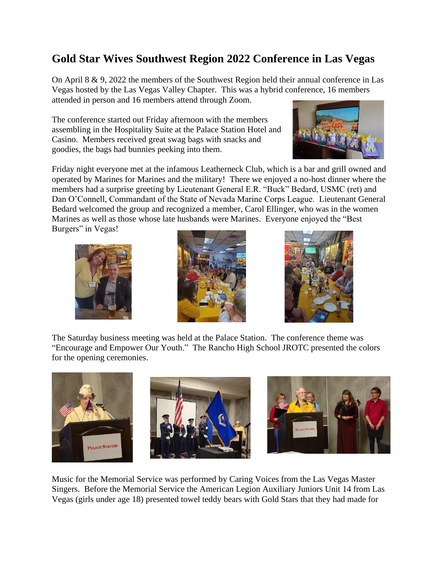## **Gold Star Wives Southwest Region 2022 Conference in Las Vegas**

On April 8 & 9, 2022 the members of the Southwest Region held their annual conference in Las Vegas hosted by the Las Vegas Valley Chapter. This was a hybrid conference, 16 members attended in person and 16 members attend through Zoom.

The conference started out Friday afternoon with the members assembling in the Hospitality Suite at the Palace Station Hotel and Casino. Members received great swag bags with snacks and goodies, the bags had bunnies peeking into them.

Friday night everyone met at the infamous Leatherneck Club, which is a bar and grill owned and operated by Marines for Marines and the military! There we enjoyed a no-host dinner where the members had a surprise greeting by Lieutenant General E.R. "Buck" Bedard, USMC (ret) and Dan O'Connell, Commandant of the State of Nevada Marine Corps League. Lieutenant General Bedard welcomed the group and recognized a member, Carol Ellinger, who was in the women Marines as well as those whose late husbands were Marines. Everyone enjoyed the "Best Burgers" in Vegas!







The Saturday business meeting was held at the Palace Station. The conference theme was "Encourage and Empower Our Youth." The Rancho High School JROTC presented the colors for the opening ceremonies.



Music for the Memorial Service was performed by Caring Voices from the Las Vegas Master Singers. Before the Memorial Service the American Legion Auxiliary Juniors Unit 14 from Las Vegas (girls under age 18) presented towel teddy bears with Gold Stars that they had made for